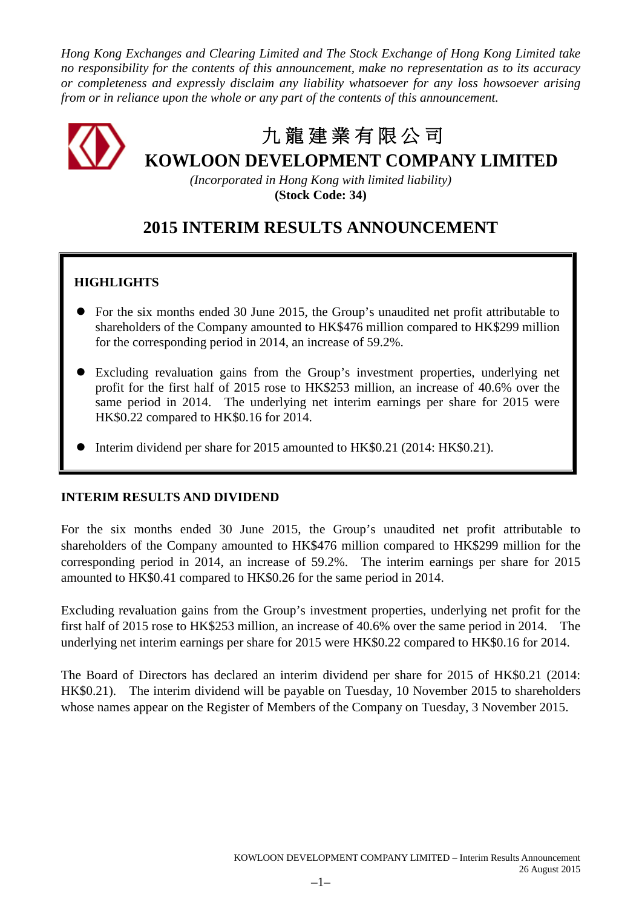*Hong Kong Exchanges and Clearing Limited and The Stock Exchange of Hong Kong Limited take no responsibility for the contents of this announcement, make no representation as to its accuracy or completeness and expressly disclaim any liability whatsoever for any loss howsoever arising from or in reliance upon the whole or any part of the contents of this announcement.*

# 九 龍 建 業 有 限 公 司 **KOWLOON DEVELOPMENT COMPANY LIMITED**

*(Incorporated in Hong Kong with limited liability)* **(Stock Code: 34)**

# **2015 INTERIM RESULTS ANNOUNCEMENT**

## **HIGHLIGHTS**

- For the six months ended 30 June 2015, the Group's unaudited net profit attributable to shareholders of the Company amounted to HK\$476 million compared to HK\$299 million for the corresponding period in 2014, an increase of 59.2%.
- Excluding revaluation gains from the Group's investment properties, underlying net profit for the first half of 2015 rose to HK\$253 million, an increase of 40.6% over the same period in 2014. The underlying net interim earnings per share for 2015 were HK\$0.22 compared to HK\$0.16 for 2014.
- Interim dividend per share for 2015 amounted to HK\$0.21 (2014: HK\$0.21).

### **INTERIM RESULTS AND DIVIDEND**

For the six months ended 30 June 2015, the Group's unaudited net profit attributable to shareholders of the Company amounted to HK\$476 million compared to HK\$299 million for the corresponding period in 2014, an increase of 59.2%. The interim earnings per share for 2015 amounted to HK\$0.41 compared to HK\$0.26 for the same period in 2014.

Excluding revaluation gains from the Group's investment properties, underlying net profit for the first half of 2015 rose to HK\$253 million, an increase of 40.6% over the same period in 2014. The underlying net interim earnings per share for 2015 were HK\$0.22 compared to HK\$0.16 for 2014.

The Board of Directors has declared an interim dividend per share for 2015 of HK\$0.21 (2014: HK\$0.21). The interim dividend will be payable on Tuesday, 10 November 2015 to shareholders whose names appear on the Register of Members of the Company on Tuesday, 3 November 2015.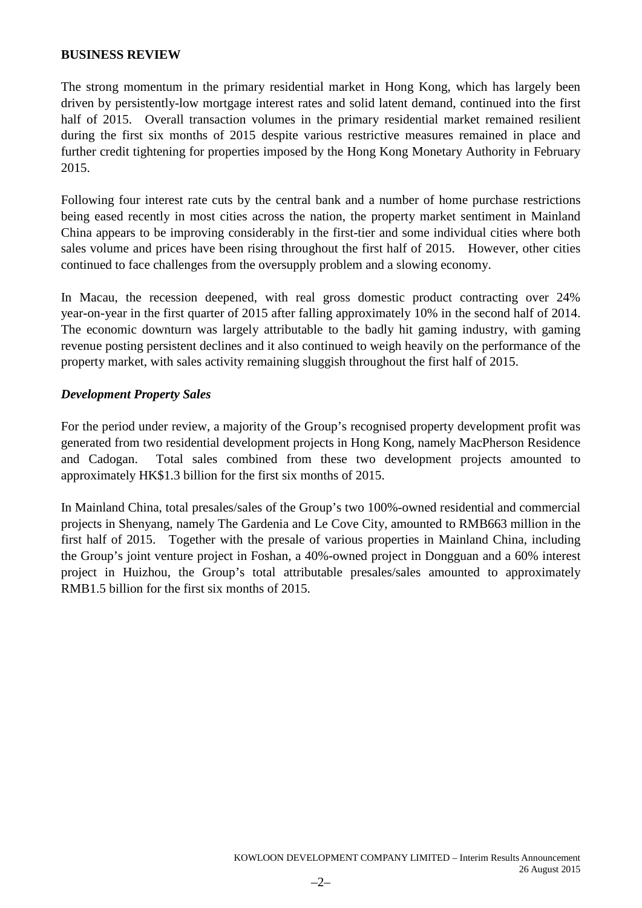### **BUSINESS REVIEW**

The strong momentum in the primary residential market in Hong Kong, which has largely been driven by persistently-low mortgage interest rates and solid latent demand, continued into the first half of 2015. Overall transaction volumes in the primary residential market remained resilient during the first six months of 2015 despite various restrictive measures remained in place and further credit tightening for properties imposed by the Hong Kong Monetary Authority in February 2015.

Following four interest rate cuts by the central bank and a number of home purchase restrictions being eased recently in most cities across the nation, the property market sentiment in Mainland China appears to be improving considerably in the first-tier and some individual cities where both sales volume and prices have been rising throughout the first half of 2015. However, other cities continued to face challenges from the oversupply problem and a slowing economy.

In Macau, the recession deepened, with real gross domestic product contracting over 24% year-on-year in the first quarter of 2015 after falling approximately 10% in the second half of 2014. The economic downturn was largely attributable to the badly hit gaming industry, with gaming revenue posting persistent declines and it also continued to weigh heavily on the performance of the property market, with sales activity remaining sluggish throughout the first half of 2015.

### *Development Property Sales*

For the period under review, a majority of the Group's recognised property development profit was generated from two residential development projects in Hong Kong, namely MacPherson Residence and Cadogan. Total sales combined from these two development projects amounted to approximately HK\$1.3 billion for the first six months of 2015.

In Mainland China, total presales/sales of the Group's two 100%-owned residential and commercial projects in Shenyang, namely The Gardenia and Le Cove City, amounted to RMB663 million in the first half of 2015. Together with the presale of various properties in Mainland China, including the Group's joint venture project in Foshan, a 40%-owned project in Dongguan and a 60% interest project in Huizhou, the Group's total attributable presales/sales amounted to approximately RMB1.5 billion for the first six months of 2015.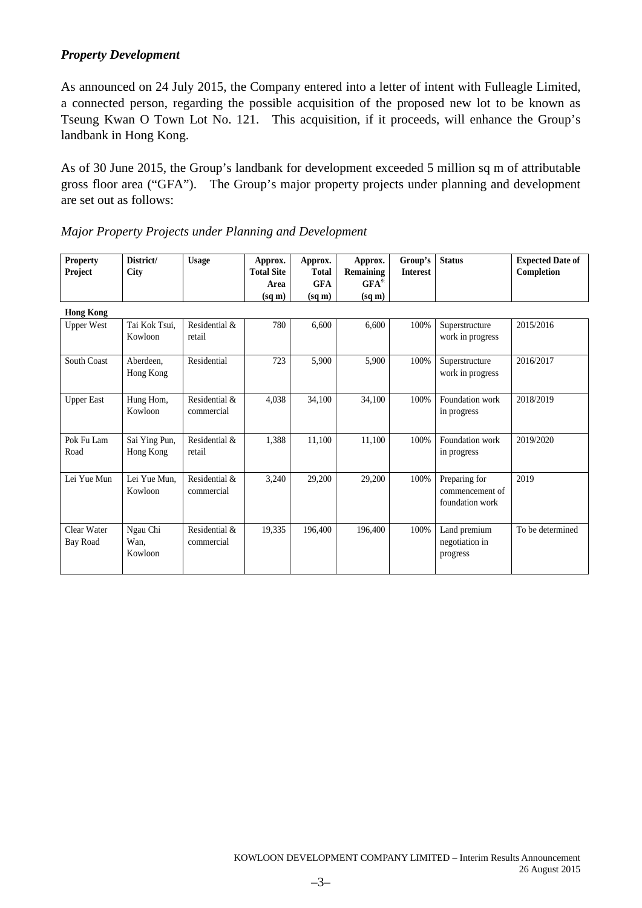### *Property Development*

As announced on 24 July 2015, the Company entered into a letter of intent with Fulleagle Limited, a connected person, regarding the possible acquisition of the proposed new lot to be known as Tseung Kwan O Town Lot No. 121. This acquisition, if it proceeds, will enhance the Group's landbank in Hong Kong.

As of 30 June 2015, the Group's landbank for development exceeded 5 million sq m of attributable gross floor area ("GFA"). The Group's major property projects under planning and development are set out as follows:

| <b>Property</b><br>Project | District/<br><b>City</b>    | <b>Usage</b>                | Approx.<br><b>Total Site</b> | Approx.<br><b>Total</b> | Approx.<br>Remaining | Group's<br><b>Interest</b> | <b>Status</b>                                       | <b>Expected Date of</b><br>Completion |
|----------------------------|-----------------------------|-----------------------------|------------------------------|-------------------------|----------------------|----------------------------|-----------------------------------------------------|---------------------------------------|
|                            |                             |                             | Area                         | <b>GFA</b>              | $GFA^*$              |                            |                                                     |                                       |
| <b>Hong Kong</b>           |                             |                             | $(sq \, \text{m})$           | $(sq \, \text{m})$      | $(sq \, \text{m})$   |                            |                                                     |                                       |
| <b>Upper West</b>          | Tai Kok Tsui,<br>Kowloon    | Residential &<br>retail     | 780                          | 6,600                   | 6,600                | 100%                       | Superstructure<br>work in progress                  | 2015/2016                             |
| South Coast                | Aberdeen.<br>Hong Kong      | Residential                 | 723                          | 5,900                   | 5,900                | 100%                       | Superstructure<br>work in progress                  | 2016/2017                             |
| <b>Upper East</b>          | Hung Hom,<br>Kowloon        | Residential &<br>commercial | 4,038                        | 34,100                  | 34,100               | 100%                       | Foundation work<br>in progress                      | 2018/2019                             |
| Pok Fu Lam<br>Road         | Sai Ying Pun,<br>Hong Kong  | Residential &<br>retail     | 1,388                        | 11,100                  | 11,100               | 100%                       | Foundation work<br>in progress                      | 2019/2020                             |
| Lei Yue Mun                | Lei Yue Mun,<br>Kowloon     | Residential &<br>commercial | 3,240                        | 29,200                  | 29,200               | 100%                       | Preparing for<br>commencement of<br>foundation work | 2019                                  |
| Clear Water<br>Bay Road    | Ngau Chi<br>Wan,<br>Kowloon | Residential &<br>commercial | 19,335                       | 196,400                 | 196,400              | 100%                       | Land premium<br>negotiation in<br>progress          | To be determined                      |

|  |  |  |  | Major Property Projects under Planning and Development |  |
|--|--|--|--|--------------------------------------------------------|--|
|--|--|--|--|--------------------------------------------------------|--|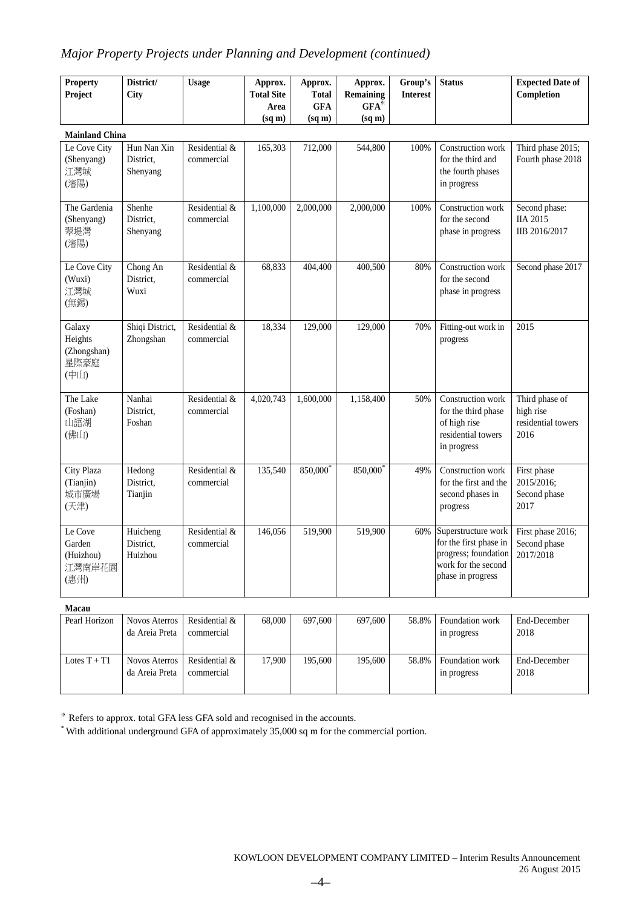### *Major Property Projects under Planning and Development (continued)*

| <b>Property</b><br>Project                       | District/<br>City                      | <b>Usage</b>                | Approx.<br><b>Total Site</b><br>Area<br>$(sq \, \text{m})$ | Approx.<br><b>Total</b><br><b>GFA</b><br>$(sq \, \text{m})$ | Approx.<br><b>Remaining</b><br>$GFA^*$<br>$(sq \, m)$ | Group's<br><b>Interest</b> | <b>Status</b>                                                                                                     | <b>Expected Date of</b><br>Completion                     |
|--------------------------------------------------|----------------------------------------|-----------------------------|------------------------------------------------------------|-------------------------------------------------------------|-------------------------------------------------------|----------------------------|-------------------------------------------------------------------------------------------------------------------|-----------------------------------------------------------|
| <b>Mainland China</b>                            |                                        |                             |                                                            |                                                             |                                                       |                            |                                                                                                                   |                                                           |
| Le Cove City<br>(Shenyang)<br>江灣城<br>(瀋陽)        | Hun Nan Xin<br>District,<br>Shenyang   | Residential &<br>commercial | 165,303                                                    | 712,000                                                     | 544,800                                               | 100%                       | Construction work<br>for the third and<br>the fourth phases<br>in progress                                        | Third phase 2015;<br>Fourth phase 2018                    |
| The Gardenia<br>(Shenyang)<br>翠堤灣<br>(瀋陽)        | Shenhe<br>District.<br>Shenyang        | Residential &<br>commercial | 1,100,000                                                  | 2,000,000                                                   | 2,000,000                                             | 100%                       | Construction work<br>for the second<br>phase in progress                                                          | Second phase:<br><b>IIA 2015</b><br>IIB 2016/2017         |
| Le Cove City<br>(Wuxi)<br>江灣城<br>(無錫)            | Chong An<br>District,<br>Wuxi          | Residential &<br>commercial | 68,833                                                     | 404,400                                                     | 400,500                                               | 80%                        | Construction work<br>for the second<br>phase in progress                                                          | Second phase 2017                                         |
| Galaxy<br>Heights<br>(Zhongshan)<br>星際豪庭<br>(中山) | Shiqi District,<br>Zhongshan           | Residential &<br>commercial | 18,334                                                     | 129,000                                                     | 129,000                                               | 70%                        | Fitting-out work in<br>progress                                                                                   | 2015                                                      |
| The Lake<br>(Foshan)<br>山語湖<br>(佛山)              | Nanhai<br>District,<br>Foshan          | Residential &<br>commercial | 4,020,743                                                  | 1,600,000                                                   | 1,158,400                                             | 50%                        | Construction work<br>for the third phase<br>of high rise<br>residential towers<br>in progress                     | Third phase of<br>high rise<br>residential towers<br>2016 |
| City Plaza<br>(Tianjin)<br>城市廣場<br>(天津)          | Hedong<br>District.<br>Tianjin         | Residential &<br>commercial | 135,540                                                    | 850,000                                                     | 850,000                                               | 49%                        | Construction work<br>for the first and the<br>second phases in<br>progress                                        | First phase<br>2015/2016;<br>Second phase<br>2017         |
| Le Cove<br>Garden<br>(Huizhou)<br>江灣南岸花園<br>(惠州) | Huicheng<br>District,<br>Huizhou       | Residential &<br>commercial | 146,056                                                    | 519,900                                                     | 519,900                                               | 60%                        | Superstructure work<br>for the first phase in<br>progress; foundation<br>work for the second<br>phase in progress | First phase 2016;<br>Second phase<br>2017/2018            |
| Macau                                            |                                        |                             |                                                            |                                                             |                                                       |                            |                                                                                                                   |                                                           |
| Pearl Horizon                                    | <b>Novos Aterros</b><br>da Areia Preta | Residential &<br>commercial | 68,000                                                     | 697,600                                                     | 697,600                                               | 58.8%                      | Foundation work<br>in progress                                                                                    | End-December<br>2018                                      |

※ Refers to approx. total GFA less GFA sold and recognised in the accounts.

Residential & commercial

Lotes  $T + T1$  Novos Aterros

da Areia Preta

\* With additional underground GFA of approximately 35,000 sq m for the commercial portion.

17,900 195,600 195,600 58.8% Foundation work

in progress

End-December 2018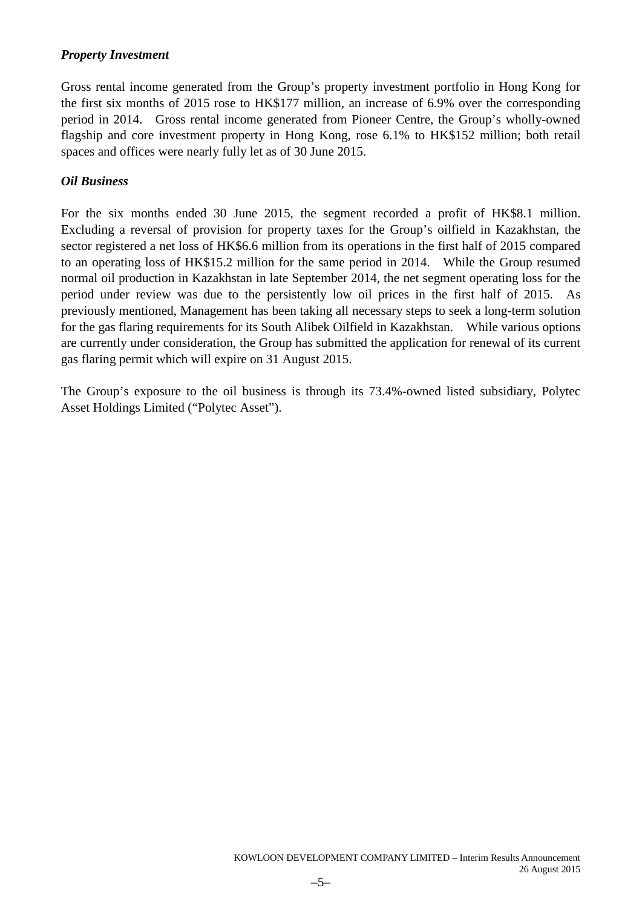### *Property Investment*

Gross rental income generated from the Group's property investment portfolio in Hong Kong for the first six months of 2015 rose to HK\$177 million, an increase of 6.9% over the corresponding period in 2014. Gross rental income generated from Pioneer Centre, the Group's wholly-owned flagship and core investment property in Hong Kong, rose 6.1% to HK\$152 million; both retail spaces and offices were nearly fully let as of 30 June 2015.

### *Oil Business*

For the six months ended 30 June 2015, the segment recorded a profit of HK\$8.1 million. Excluding a reversal of provision for property taxes for the Group's oilfield in Kazakhstan, the sector registered a net loss of HK\$6.6 million from its operations in the first half of 2015 compared to an operating loss of HK\$15.2 million for the same period in 2014. While the Group resumed normal oil production in Kazakhstan in late September 2014, the net segment operating loss for the period under review was due to the persistently low oil prices in the first half of 2015. As previously mentioned, Management has been taking all necessary steps to seek a long-term solution for the gas flaring requirements for its South Alibek Oilfield in Kazakhstan. While various options are currently under consideration, the Group has submitted the application for renewal of its current gas flaring permit which will expire on 31 August 2015.

The Group's exposure to the oil business is through its 73.4%-owned listed subsidiary, Polytec Asset Holdings Limited ("Polytec Asset").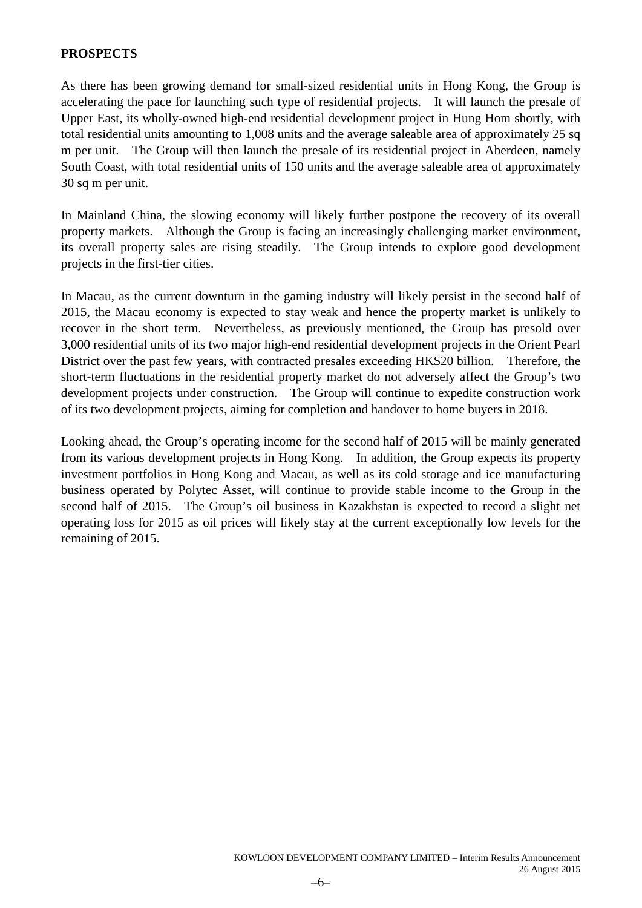### **PROSPECTS**

As there has been growing demand for small-sized residential units in Hong Kong, the Group is accelerating the pace for launching such type of residential projects. It will launch the presale of Upper East, its wholly-owned high-end residential development project in Hung Hom shortly, with total residential units amounting to 1,008 units and the average saleable area of approximately 25 sq m per unit. The Group will then launch the presale of its residential project in Aberdeen, namely South Coast, with total residential units of 150 units and the average saleable area of approximately 30 sq m per unit.

In Mainland China, the slowing economy will likely further postpone the recovery of its overall property markets. Although the Group is facing an increasingly challenging market environment, its overall property sales are rising steadily. The Group intends to explore good development projects in the first-tier cities.

In Macau, as the current downturn in the gaming industry will likely persist in the second half of 2015, the Macau economy is expected to stay weak and hence the property market is unlikely to recover in the short term. Nevertheless, as previously mentioned, the Group has presold over 3,000 residential units of its two major high-end residential development projects in the Orient Pearl District over the past few years, with contracted presales exceeding HK\$20 billion. Therefore, the short-term fluctuations in the residential property market do not adversely affect the Group's two development projects under construction. The Group will continue to expedite construction work of its two development projects, aiming for completion and handover to home buyers in 2018.

Looking ahead, the Group's operating income for the second half of 2015 will be mainly generated from its various development projects in Hong Kong. In addition, the Group expects its property investment portfolios in Hong Kong and Macau, as well as its cold storage and ice manufacturing business operated by Polytec Asset, will continue to provide stable income to the Group in the second half of 2015. The Group's oil business in Kazakhstan is expected to record a slight net operating loss for 2015 as oil prices will likely stay at the current exceptionally low levels for the remaining of 2015.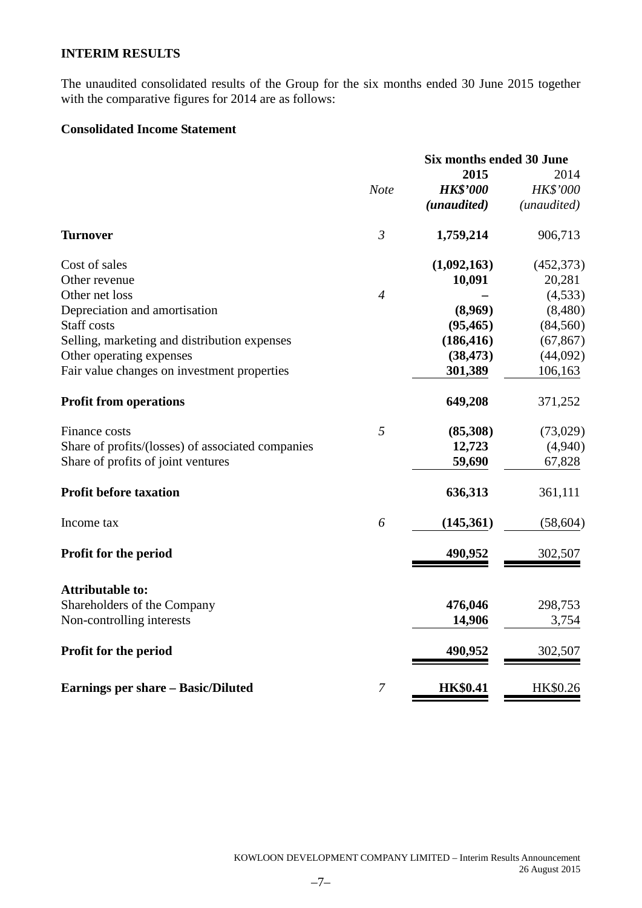### **INTERIM RESULTS**

The unaudited consolidated results of the Group for the six months ended 30 June 2015 together with the comparative figures for 2014 are as follows:

### **Consolidated Income Statement**

|                                                   |                | <b>Six months ended 30 June</b> |             |
|---------------------------------------------------|----------------|---------------------------------|-------------|
|                                                   |                | 2015                            | 2014        |
|                                                   | <b>Note</b>    | <b>HK\$'000</b>                 | HK\$'000    |
|                                                   |                | (unaudited)                     | (unaudited) |
| <b>Turnover</b>                                   | $\mathfrak{Z}$ | 1,759,214                       | 906,713     |
| Cost of sales                                     |                | (1,092,163)                     | (452, 373)  |
| Other revenue                                     |                | 10,091                          | 20,281      |
| Other net loss                                    | $\overline{4}$ |                                 | (4, 533)    |
| Depreciation and amortisation                     |                | (8,969)                         | (8,480)     |
| <b>Staff</b> costs                                |                | (95, 465)                       | (84, 560)   |
| Selling, marketing and distribution expenses      |                | (186, 416)                      | (67, 867)   |
| Other operating expenses                          |                | (38, 473)                       | (44,092)    |
| Fair value changes on investment properties       |                | 301,389                         | 106,163     |
| <b>Profit from operations</b>                     |                | 649,208                         | 371,252     |
| Finance costs                                     | 5              | (85,308)                        | (73,029)    |
| Share of profits/(losses) of associated companies |                | 12,723                          | (4,940)     |
| Share of profits of joint ventures                |                | 59,690                          | 67,828      |
| <b>Profit before taxation</b>                     |                | 636,313                         | 361,111     |
| Income tax                                        | 6              | (145, 361)                      | (58, 604)   |
| <b>Profit for the period</b>                      |                | 490,952                         | 302,507     |
| <b>Attributable to:</b>                           |                |                                 |             |
| Shareholders of the Company                       |                | 476,046                         | 298,753     |
| Non-controlling interests                         |                | 14,906                          | 3,754       |
| Profit for the period                             |                | 490,952                         | 302,507     |
| <b>Earnings per share – Basic/Diluted</b>         | 7              | <b>HK\$0.41</b>                 | HK\$0.26    |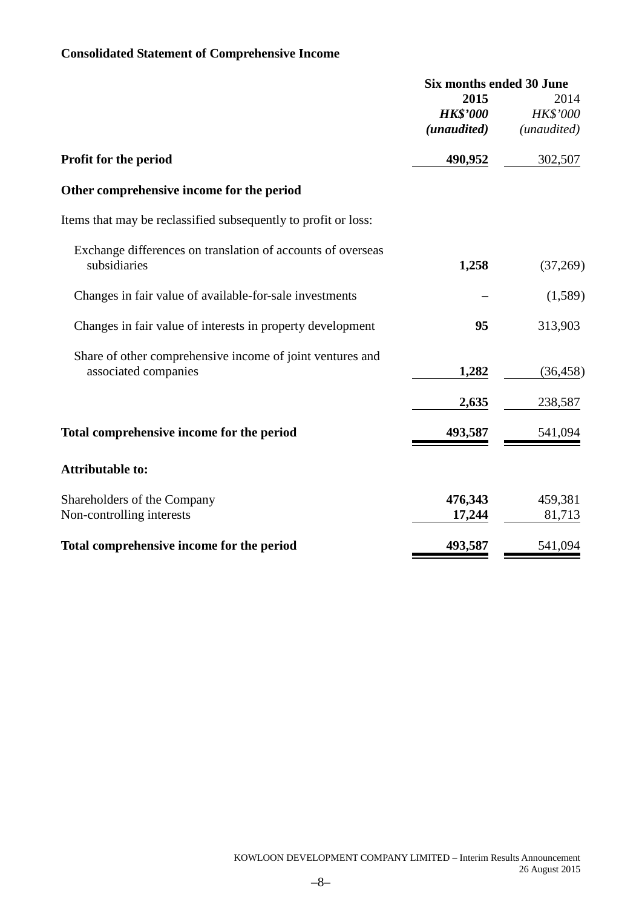### **Consolidated Statement of Comprehensive Income**

|                                                                | <b>Six months ended 30 June</b> |             |  |
|----------------------------------------------------------------|---------------------------------|-------------|--|
|                                                                | 2015                            | 2014        |  |
|                                                                | <b>HK\$'000</b>                 | HK\$'000    |  |
|                                                                | (unaudited)                     | (unaudited) |  |
| Profit for the period                                          | 490,952                         | 302,507     |  |
| Other comprehensive income for the period                      |                                 |             |  |
| Items that may be reclassified subsequently to profit or loss: |                                 |             |  |
| Exchange differences on translation of accounts of overseas    |                                 |             |  |
| subsidiaries                                                   | 1,258                           | (37,269)    |  |
| Changes in fair value of available-for-sale investments        |                                 | (1,589)     |  |
| Changes in fair value of interests in property development     | 95                              | 313,903     |  |
| Share of other comprehensive income of joint ventures and      |                                 |             |  |
| associated companies                                           | 1,282                           | (36, 458)   |  |
|                                                                | 2,635                           | 238,587     |  |
| Total comprehensive income for the period                      | 493,587                         | 541,094     |  |
| <b>Attributable to:</b>                                        |                                 |             |  |
| Shareholders of the Company                                    | 476,343                         | 459,381     |  |
| Non-controlling interests                                      | 17,244                          | 81,713      |  |
| Total comprehensive income for the period                      | 493,587                         | 541,094     |  |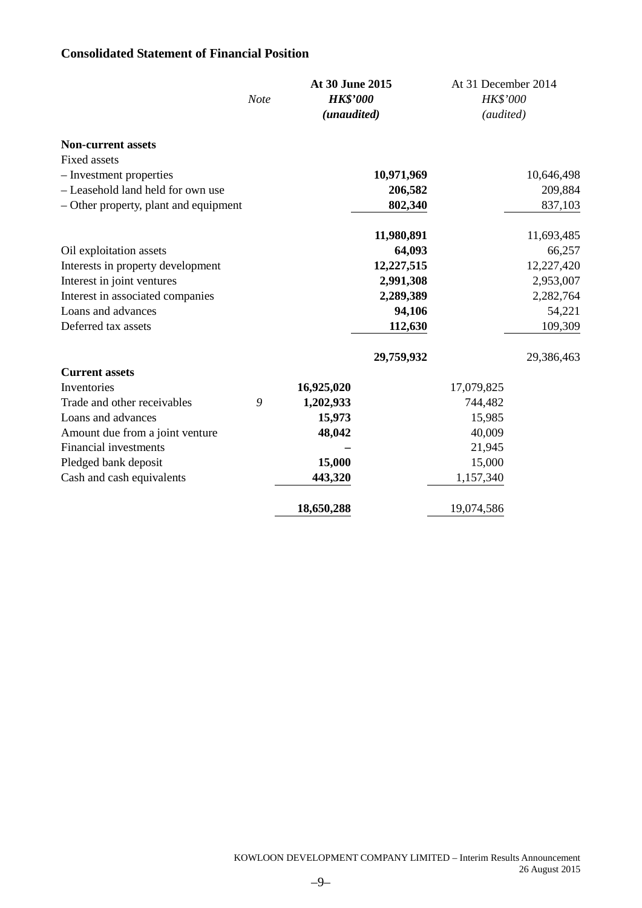### **Consolidated Statement of Financial Position**

|                                       |             | At 30 June 2015 |            | At 31 December 2014 |            |
|---------------------------------------|-------------|-----------------|------------|---------------------|------------|
|                                       | <b>Note</b> | <b>HK\$'000</b> |            | HK\$'000            |            |
|                                       |             | (unaudited)     |            | (audited)           |            |
| <b>Non-current assets</b>             |             |                 |            |                     |            |
| <b>Fixed assets</b>                   |             |                 |            |                     |            |
| - Investment properties               |             |                 | 10,971,969 |                     | 10,646,498 |
| - Leasehold land held for own use     |             |                 | 206,582    |                     | 209,884    |
| - Other property, plant and equipment |             |                 | 802,340    |                     | 837,103    |
|                                       |             |                 | 11,980,891 |                     | 11,693,485 |
| Oil exploitation assets               |             |                 | 64,093     |                     | 66,257     |
| Interests in property development     |             |                 | 12,227,515 |                     | 12,227,420 |
| Interest in joint ventures            |             |                 | 2,991,308  |                     | 2,953,007  |
| Interest in associated companies      |             |                 | 2,289,389  |                     | 2,282,764  |
| Loans and advances                    |             |                 | 94,106     |                     | 54,221     |
| Deferred tax assets                   |             |                 | 112,630    |                     | 109,309    |
|                                       |             |                 | 29,759,932 |                     | 29,386,463 |
| <b>Current assets</b>                 |             |                 |            |                     |            |
| Inventories                           |             | 16,925,020      |            | 17,079,825          |            |
| Trade and other receivables           | 9           | 1,202,933       |            | 744,482             |            |
| Loans and advances                    |             | 15,973          |            | 15,985              |            |
| Amount due from a joint venture       |             | 48,042          |            | 40,009              |            |
| Financial investments                 |             |                 |            | 21,945              |            |
| Pledged bank deposit                  |             | 15,000          |            | 15,000              |            |
| Cash and cash equivalents             |             | 443,320         |            | 1,157,340           |            |
|                                       |             | 18,650,288      |            | 19,074,586          |            |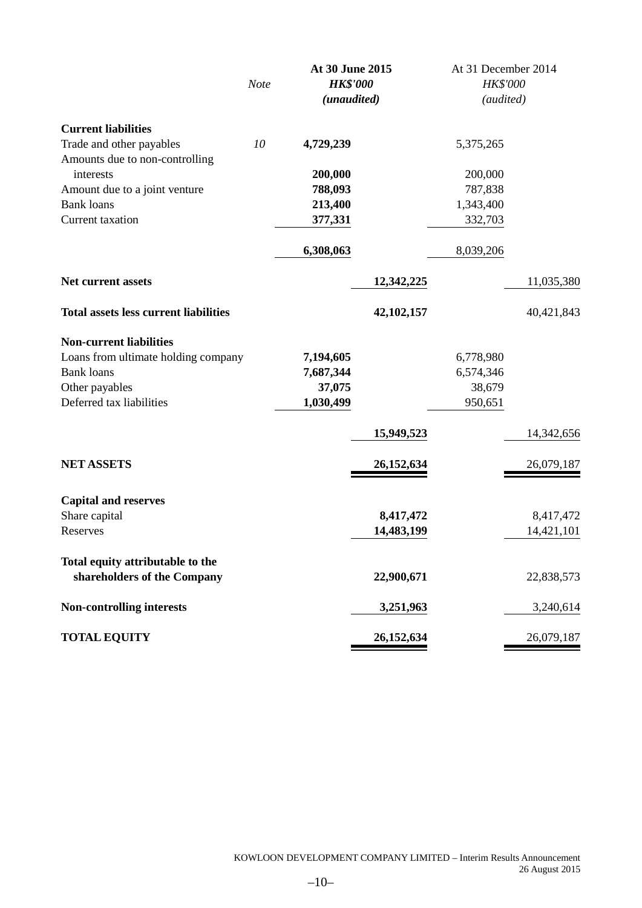|                                              | <b>Note</b> | At 30 June 2015<br><b>HK\$'000</b> |            | At 31 December 2014<br>HK\$'000 |            |
|----------------------------------------------|-------------|------------------------------------|------------|---------------------------------|------------|
|                                              |             | (unaudited)                        |            | (audited)                       |            |
| <b>Current liabilities</b>                   |             |                                    |            |                                 |            |
| Trade and other payables                     | 10          | 4,729,239                          |            | 5,375,265                       |            |
| Amounts due to non-controlling               |             |                                    |            |                                 |            |
| interests                                    |             | 200,000                            |            | 200,000                         |            |
| Amount due to a joint venture                |             | 788,093                            |            | 787,838                         |            |
| <b>Bank loans</b>                            |             | 213,400                            |            | 1,343,400                       |            |
| Current taxation                             |             | 377,331                            |            | 332,703                         |            |
|                                              |             | 6,308,063                          |            | 8,039,206                       |            |
| <b>Net current assets</b>                    |             |                                    | 12,342,225 |                                 | 11,035,380 |
| <b>Total assets less current liabilities</b> |             |                                    | 42,102,157 |                                 | 40,421,843 |
| <b>Non-current liabilities</b>               |             |                                    |            |                                 |            |
| Loans from ultimate holding company          |             | 7,194,605                          |            | 6,778,980                       |            |
| <b>Bank loans</b>                            |             | 7,687,344                          |            | 6,574,346                       |            |
| Other payables                               |             | 37,075                             |            | 38,679                          |            |
| Deferred tax liabilities                     |             | 1,030,499                          |            | 950,651                         |            |
|                                              |             |                                    | 15,949,523 |                                 | 14,342,656 |
| <b>NET ASSETS</b>                            |             |                                    | 26,152,634 |                                 | 26,079,187 |
| <b>Capital and reserves</b>                  |             |                                    |            |                                 |            |
| Share capital                                |             |                                    | 8,417,472  |                                 | 8,417,472  |
| Reserves                                     |             |                                    | 14,483,199 |                                 | 14,421,101 |
| Total equity attributable to the             |             |                                    |            |                                 |            |
| shareholders of the Company                  |             |                                    | 22,900,671 |                                 | 22,838,573 |
| <b>Non-controlling interests</b>             |             |                                    | 3,251,963  |                                 | 3,240,614  |
| <b>TOTAL EQUITY</b>                          |             |                                    | 26,152,634 |                                 | 26,079,187 |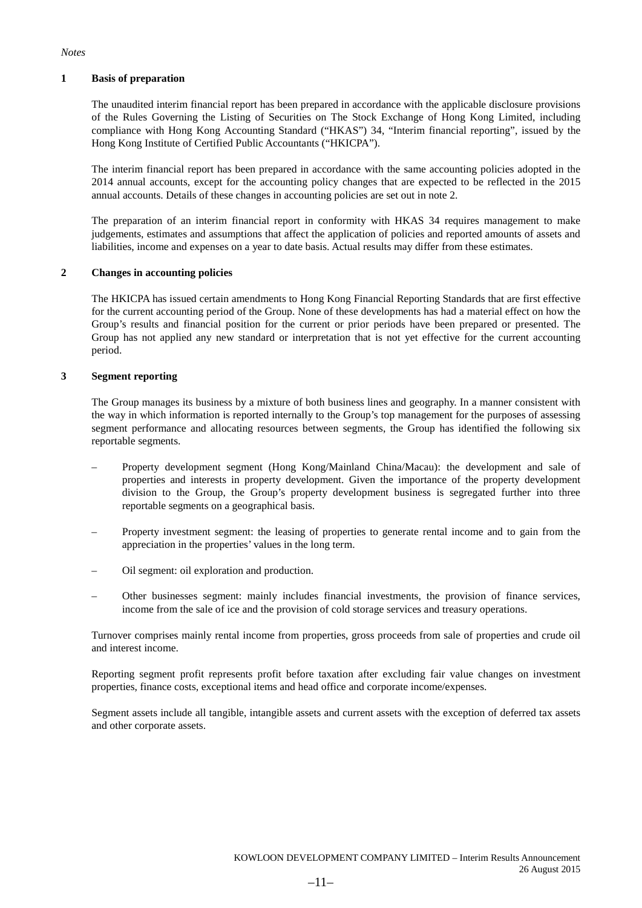#### *Notes*

#### **1 Basis of preparation**

The unaudited interim financial report has been prepared in accordance with the applicable disclosure provisions of the Rules Governing the Listing of Securities on The Stock Exchange of Hong Kong Limited, including compliance with Hong Kong Accounting Standard ("HKAS") 34, "Interim financial reporting", issued by the Hong Kong Institute of Certified Public Accountants ("HKICPA").

The interim financial report has been prepared in accordance with the same accounting policies adopted in the 2014 annual accounts, except for the accounting policy changes that are expected to be reflected in the 2015 annual accounts. Details of these changes in accounting policies are set out in note 2.

The preparation of an interim financial report in conformity with HKAS 34 requires management to make judgements, estimates and assumptions that affect the application of policies and reported amounts of assets and liabilities, income and expenses on a year to date basis. Actual results may differ from these estimates.

#### **2 Changes in accounting policies**

The HKICPA has issued certain amendments to Hong Kong Financial Reporting Standards that are first effective for the current accounting period of the Group. None of these developments has had a material effect on how the Group's results and financial position for the current or prior periods have been prepared or presented. The Group has not applied any new standard or interpretation that is not yet effective for the current accounting period.

#### **3 Segment reporting**

The Group manages its business by a mixture of both business lines and geography. In a manner consistent with the way in which information is reported internally to the Group's top management for the purposes of assessing segment performance and allocating resources between segments, the Group has identified the following six reportable segments.

- Property development segment (Hong Kong/Mainland China/Macau): the development and sale of properties and interests in property development. Given the importance of the property development division to the Group, the Group's property development business is segregated further into three reportable segments on a geographical basis.
- Property investment segment: the leasing of properties to generate rental income and to gain from the appreciation in the properties' values in the long term.
- Oil segment: oil exploration and production.
- Other businesses segment: mainly includes financial investments, the provision of finance services, income from the sale of ice and the provision of cold storage services and treasury operations.

Turnover comprises mainly rental income from properties, gross proceeds from sale of properties and crude oil and interest income.

Reporting segment profit represents profit before taxation after excluding fair value changes on investment properties, finance costs, exceptional items and head office and corporate income/expenses.

Segment assets include all tangible, intangible assets and current assets with the exception of deferred tax assets and other corporate assets.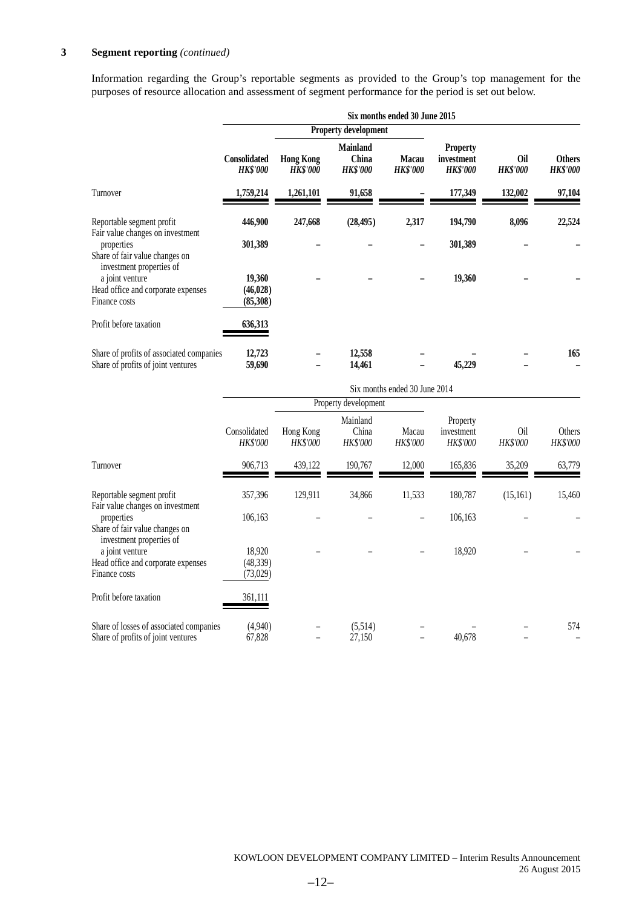#### **3 Segment reporting** *(continued)*

Information regarding the Group's reportable segments as provided to the Group's top management for the purposes of resource allocation and assessment of segment performance for the period is set out below.

|                                                                                             | Six months ended 30 June 2015          |                                     |                                             |                                 |                                                  |                        |                                  |  |  |  |
|---------------------------------------------------------------------------------------------|----------------------------------------|-------------------------------------|---------------------------------------------|---------------------------------|--------------------------------------------------|------------------------|----------------------------------|--|--|--|
|                                                                                             |                                        |                                     | <b>Property development</b>                 |                                 |                                                  |                        |                                  |  |  |  |
|                                                                                             | <b>Consolidated</b><br><b>HK\$'000</b> | <b>Hong Kong</b><br><b>HK\$'000</b> | <b>Mainland</b><br>China<br><b>HK\$'000</b> | <b>Macau</b><br><b>HK\$'000</b> | <b>Property</b><br>investment<br><b>HK\$'000</b> | Oil<br><b>HK\$'000</b> | <b>Others</b><br><b>HK\$'000</b> |  |  |  |
| Turnover                                                                                    | 1,759,214                              | 1,261,101                           | 91,658                                      |                                 | 177,349                                          | 132,002                | 97,104                           |  |  |  |
| Reportable segment profit<br>Fair value changes on investment                               | 446,900                                | 247,668                             | (28, 495)                                   | 2,317                           | 194,790                                          | 8,096                  | 22,524                           |  |  |  |
| properties<br>Share of fair value changes on<br>investment properties of<br>a joint venture | 301,389<br>19,360                      |                                     |                                             |                                 | 301,389<br>19,360                                |                        |                                  |  |  |  |
| Head office and corporate expenses<br>Finance costs                                         | (46, 028)<br>(85,308)                  |                                     |                                             |                                 |                                                  |                        |                                  |  |  |  |
| Profit before taxation                                                                      | 636,313                                |                                     |                                             |                                 |                                                  |                        |                                  |  |  |  |
| Share of profits of associated companies<br>Share of profits of joint ventures              | 12,723<br>59,690                       |                                     | 12,558<br>14,461                            |                                 | 45,229                                           |                        | 165                              |  |  |  |

|                                                                               | Six months ended 30 June 2014   |                              |                               |                   |                                    |                             |                    |  |  |
|-------------------------------------------------------------------------------|---------------------------------|------------------------------|-------------------------------|-------------------|------------------------------------|-----------------------------|--------------------|--|--|
|                                                                               |                                 |                              | Property development          |                   |                                    |                             |                    |  |  |
|                                                                               | Consolidated<br>HK\$'000        | Hong Kong<br><b>HK\$'000</b> | Mainland<br>China<br>HK\$'000 | Macau<br>HK\$'000 | Property<br>investment<br>HK\$'000 | O <sub>il</sub><br>HK\$'000 | Others<br>HK\$'000 |  |  |
| Turnover                                                                      | 906,713                         | 439,122                      | 190,767                       | 12,000            | 165,836                            | 35,209                      | 63,779             |  |  |
| Reportable segment profit<br>Fair value changes on investment                 | 357,396                         | 129,911                      | 34,866                        | 11,533            | 180,787                            | (15,161)                    | 15,460             |  |  |
| properties<br>Share of fair value changes on<br>investment properties of      | 106,163                         |                              |                               |                   | 106,163                            |                             |                    |  |  |
| a joint venture<br>Head office and corporate expenses<br>Finance costs        | 18,920<br>(48, 339)<br>(73,029) |                              |                               |                   | 18,920                             |                             |                    |  |  |
| Profit before taxation                                                        | 361,111                         |                              |                               |                   |                                    |                             |                    |  |  |
| Share of losses of associated companies<br>Share of profits of joint ventures | (4,940)<br>67,828               |                              | (5,514)<br>27,150             |                   | 40,678                             |                             | 574                |  |  |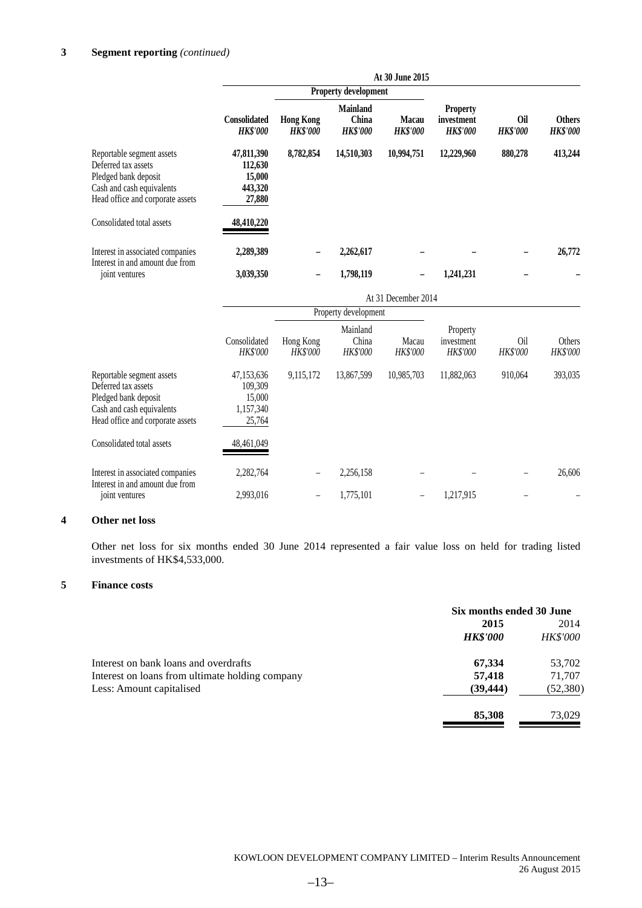|                                                                                                                                           |                                                        |                                     |                                             | At 30 June 2015          |                                                  |                               |                                  |
|-------------------------------------------------------------------------------------------------------------------------------------------|--------------------------------------------------------|-------------------------------------|---------------------------------------------|--------------------------|--------------------------------------------------|-------------------------------|----------------------------------|
|                                                                                                                                           | <b>Property development</b>                            |                                     |                                             |                          |                                                  |                               |                                  |
|                                                                                                                                           | Consolidated<br><b>HK\$'000</b>                        | <b>Hong Kong</b><br><b>HK\$'000</b> | <b>Mainland</b><br>China<br><b>HK\$'000</b> | Macau<br><b>HK\$'000</b> | <b>Property</b><br>investment<br><b>HK\$'000</b> | <b>Oil</b><br><b>HK\$'000</b> | <b>Others</b><br><b>HK\$'000</b> |
| Reportable segment assets<br>Deferred tax assets<br>Pledged bank deposit<br>Cash and cash equivalents<br>Head office and corporate assets | 47,811,390<br>112,630<br>15,000<br>443,320<br>27,880   | 8,782,854                           | 14,510,303                                  | 10,994,751               | 12,229,960                                       | 880,278                       | 413,244                          |
| Consolidated total assets                                                                                                                 | 48,410,220                                             |                                     |                                             |                          |                                                  |                               |                                  |
| Interest in associated companies<br>Interest in and amount due from                                                                       | 2,289,389                                              |                                     | 2,262,617                                   |                          |                                                  |                               | 26,772                           |
| joint ventures                                                                                                                            | 3,039,350                                              |                                     | 1,798,119                                   |                          | 1,241,231                                        |                               |                                  |
|                                                                                                                                           |                                                        |                                     |                                             | At 31 December 2014      |                                                  |                               |                                  |
|                                                                                                                                           |                                                        |                                     | Property development                        |                          |                                                  |                               |                                  |
|                                                                                                                                           | Consolidated<br>HK\$'000                               | Hong Kong<br>HK\$'000               | Mainland<br>China<br>HK\$'000               | Macau<br>HK\$'000        | Property<br>investment<br>HK\$'000               | O <sub>il</sub><br>HK\$'000   | <b>Others</b><br>HK\$'000        |
| Reportable segment assets<br>Deferred tax assets<br>Pledged bank deposit<br>Cash and cash equivalents<br>Head office and corporate assets | 47,153,636<br>109,309<br>15,000<br>1,157,340<br>25,764 | 9,115,172                           | 13,867,599                                  | 10,985,703               | 11,882,063                                       | 910,064                       | 393,035                          |
| Consolidated total assets                                                                                                                 | 48,461,049                                             |                                     |                                             |                          |                                                  |                               |                                  |
| Interest in associated companies<br>Interest in and amount due from                                                                       | 2,282,764                                              |                                     | 2,256,158                                   |                          |                                                  |                               | 26,606                           |
| joint ventures                                                                                                                            | 2,993,016                                              | $\overline{\phantom{0}}$            | 1,775,101                                   | -                        | 1,217,915                                        |                               |                                  |

#### **4 Other net loss**

Other net loss for six months ended 30 June 2014 represented a fair value loss on held for trading listed investments of HK\$4,533,000.

#### **5 Finance costs**

|                                                 | Six months ended 30 June |                 |
|-------------------------------------------------|--------------------------|-----------------|
|                                                 | 2015                     | 2014            |
|                                                 | <b>HK\$'000</b>          | <b>HK\$'000</b> |
| Interest on bank loans and overdrafts           | 67,334                   | 53,702          |
| Interest on loans from ultimate holding company | 57,418                   | 71,707          |
| Less: Amount capitalised                        | (39, 444)                | (52,380)        |
|                                                 | 85,308                   | 73.029          |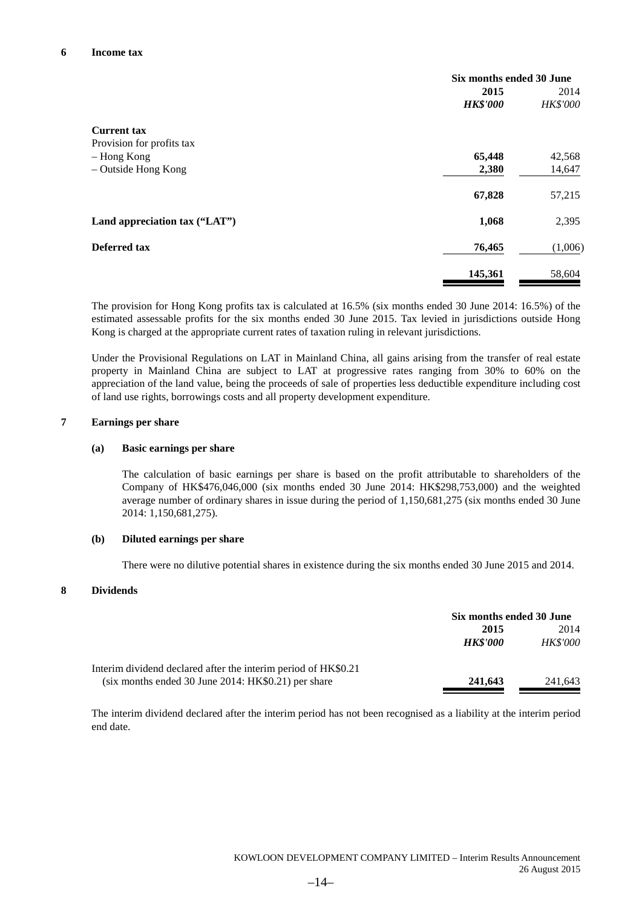|                               | Six months ended 30 June |          |  |
|-------------------------------|--------------------------|----------|--|
|                               | 2015                     | 2014     |  |
|                               | <b>HK\$'000</b>          | HK\$'000 |  |
| <b>Current tax</b>            |                          |          |  |
| Provision for profits tax     |                          |          |  |
| - Hong Kong                   | 65,448                   | 42,568   |  |
| - Outside Hong Kong           | 2,380                    | 14,647   |  |
|                               | 67,828                   | 57,215   |  |
| Land appreciation tax ("LAT") | 1,068                    | 2,395    |  |
| Deferred tax                  | 76,465                   | (1,006)  |  |
|                               | 145,361                  | 58,604   |  |

The provision for Hong Kong profits tax is calculated at 16.5% (six months ended 30 June 2014: 16.5%) of the estimated assessable profits for the six months ended 30 June 2015. Tax levied in jurisdictions outside Hong Kong is charged at the appropriate current rates of taxation ruling in relevant jurisdictions.

Under the Provisional Regulations on LAT in Mainland China, all gains arising from the transfer of real estate property in Mainland China are subject to LAT at progressive rates ranging from 30% to 60% on the appreciation of the land value, being the proceeds of sale of properties less deductible expenditure including cost of land use rights, borrowings costs and all property development expenditure.

#### **7 Earnings per share**

#### **(a) Basic earnings per share**

The calculation of basic earnings per share is based on the profit attributable to shareholders of the Company of HK\$476,046,000 (six months ended 30 June 2014: HK\$298,753,000) and the weighted average number of ordinary shares in issue during the period of 1,150,681,275 (six months ended 30 June 2014: 1,150,681,275).

#### **(b) Diluted earnings per share**

There were no dilutive potential shares in existence during the six months ended 30 June 2015 and 2014.

#### **8 Dividends**

|                                                                | Six months ended 30 June |                 |
|----------------------------------------------------------------|--------------------------|-----------------|
|                                                                | 2015                     | 2014            |
|                                                                | <b>HK\$'000</b>          | <b>HK\$'000</b> |
| Interim dividend declared after the interim period of HK\$0.21 |                          |                 |
| $(six$ months ended 30 June 2014: HK\$0.21) per share          | 241,643                  | 241.643         |

The interim dividend declared after the interim period has not been recognised as a liability at the interim period end date.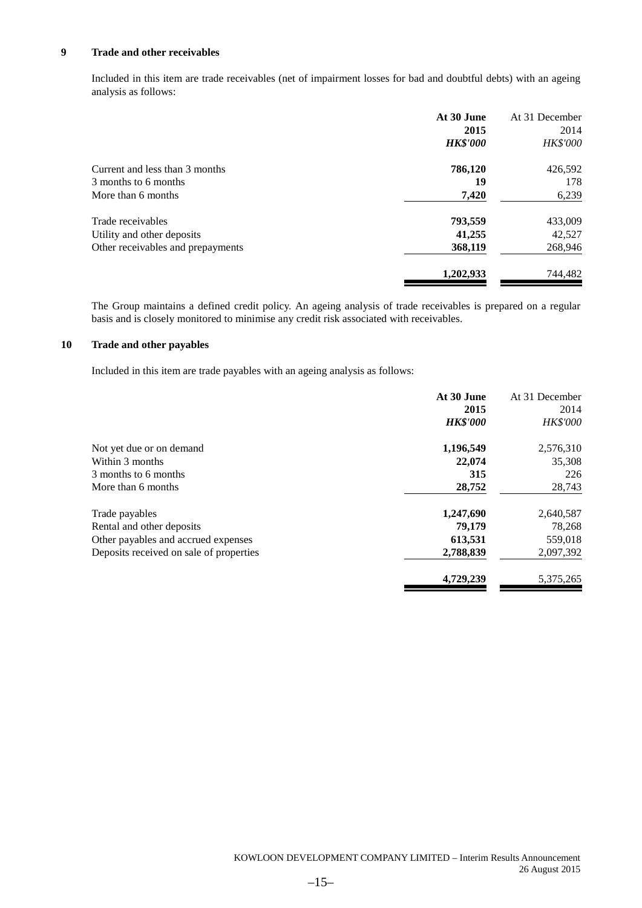#### **9 Trade and other receivables**

Included in this item are trade receivables (net of impairment losses for bad and doubtful debts) with an ageing analysis as follows:

|                                   | At 30 June      | At 31 December  |
|-----------------------------------|-----------------|-----------------|
|                                   | 2015            | 2014            |
|                                   | <b>HK\$'000</b> | <b>HK\$'000</b> |
| Current and less than 3 months    | 786,120         | 426,592         |
| 3 months to 6 months              | 19              | 178             |
| More than 6 months                | 7,420           | 6,239           |
| Trade receivables                 | 793,559         | 433,009         |
| Utility and other deposits        | 41,255          | 42,527          |
| Other receivables and prepayments | 368,119         | 268,946         |
|                                   | 1,202,933       | 744,482         |

The Group maintains a defined credit policy. An ageing analysis of trade receivables is prepared on a regular basis and is closely monitored to minimise any credit risk associated with receivables.

#### **10 Trade and other payables**

Included in this item are trade payables with an ageing analysis as follows:

| At 30 June<br>At 31 December       |
|------------------------------------|
| 2015<br>2014                       |
| <b>HK\$'000</b><br><b>HK\$'000</b> |
| 2,576,310                          |
| 35,308                             |
| 315<br>226                         |
| 28,752<br>28,743                   |
| 1,247,690<br>2,640,587             |
| 78,268                             |
| 559,018                            |
| 2,097,392<br>2,788,839             |
| 5,375,265                          |
|                                    |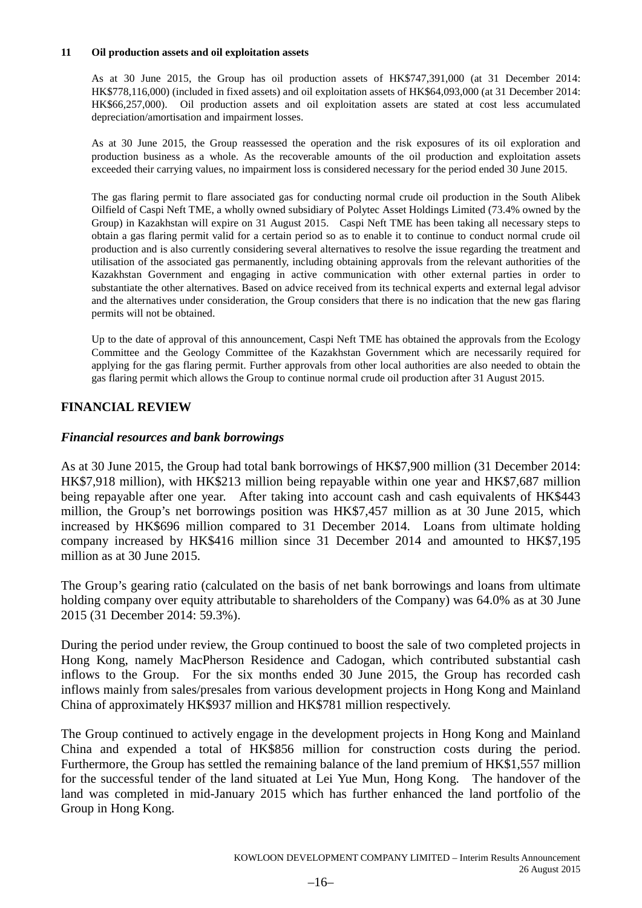#### **11 Oil production assets and oil exploitation assets**

As at 30 June 2015, the Group has oil production assets of HK\$747,391,000 (at 31 December 2014: HK\$778,116,000) (included in fixed assets) and oil exploitation assets of HK\$64,093,000 (at 31 December 2014: HK\$66,257,000). Oil production assets and oil exploitation assets are stated at cost less accumulated depreciation/amortisation and impairment losses.

As at 30 June 2015, the Group reassessed the operation and the risk exposures of its oil exploration and production business as a whole. As the recoverable amounts of the oil production and exploitation assets exceeded their carrying values, no impairment loss is considered necessary for the period ended 30 June 2015.

The gas flaring permit to flare associated gas for conducting normal crude oil production in the South Alibek Oilfield of Caspi Neft TME, a wholly owned subsidiary of Polytec Asset Holdings Limited (73.4% owned by the Group) in Kazakhstan will expire on 31 August 2015. Caspi Neft TME has been taking all necessary steps to obtain a gas flaring permit valid for a certain period so as to enable it to continue to conduct normal crude oil production and is also currently considering several alternatives to resolve the issue regarding the treatment and utilisation of the associated gas permanently, including obtaining approvals from the relevant authorities of the Kazakhstan Government and engaging in active communication with other external parties in order to substantiate the other alternatives. Based on advice received from its technical experts and external legal advisor and the alternatives under consideration, the Group considers that there is no indication that the new gas flaring permits will not be obtained.

Up to the date of approval of this announcement, Caspi Neft TME has obtained the approvals from the Ecology Committee and the Geology Committee of the Kazakhstan Government which are necessarily required for applying for the gas flaring permit. Further approvals from other local authorities are also needed to obtain the gas flaring permit which allows the Group to continue normal crude oil production after 31 August 2015.

### **FINANCIAL REVIEW**

### *Financial resources and bank borrowings*

As at 30 June 2015, the Group had total bank borrowings of HK\$7,900 million (31 December 2014: HK\$7,918 million), with HK\$213 million being repayable within one year and HK\$7,687 million being repayable after one year. After taking into account cash and cash equivalents of HK\$443 million, the Group's net borrowings position was HK\$7,457 million as at 30 June 2015, which increased by HK\$696 million compared to 31 December 2014. Loans from ultimate holding company increased by HK\$416 million since 31 December 2014 and amounted to HK\$7,195 million as at 30 June 2015.

The Group's gearing ratio (calculated on the basis of net bank borrowings and loans from ultimate holding company over equity attributable to shareholders of the Company) was 64.0% as at 30 June 2015 (31 December 2014: 59.3%).

During the period under review, the Group continued to boost the sale of two completed projects in Hong Kong, namely MacPherson Residence and Cadogan, which contributed substantial cash inflows to the Group. For the six months ended 30 June 2015, the Group has recorded cash inflows mainly from sales/presales from various development projects in Hong Kong and Mainland China of approximately HK\$937 million and HK\$781 million respectively.

The Group continued to actively engage in the development projects in Hong Kong and Mainland China and expended a total of HK\$856 million for construction costs during the period. Furthermore, the Group has settled the remaining balance of the land premium of HK\$1,557 million for the successful tender of the land situated at Lei Yue Mun, Hong Kong. The handover of the land was completed in mid-January 2015 which has further enhanced the land portfolio of the Group in Hong Kong.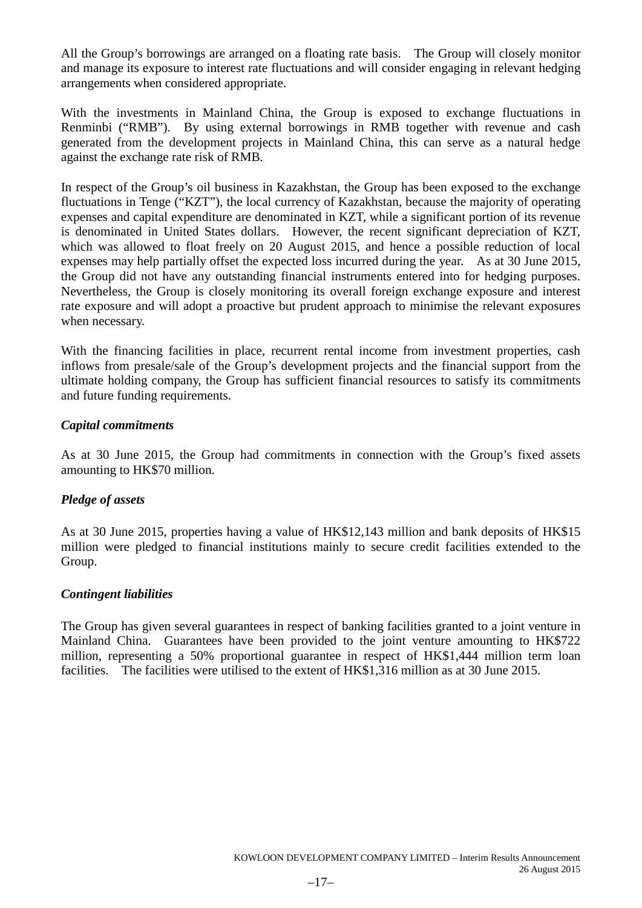All the Group's borrowings are arranged on a floating rate basis. The Group will closely monitor and manage its exposure to interest rate fluctuations and will consider engaging in relevant hedging arrangements when considered appropriate.

With the investments in Mainland China, the Group is exposed to exchange fluctuations in Renminbi ("RMB"). By using external borrowings in RMB together with revenue and cash generated from the development projects in Mainland China, this can serve as a natural hedge against the exchange rate risk of RMB.

In respect of the Group's oil business in Kazakhstan, the Group has been exposed to the exchange fluctuations in Tenge ("KZT"), the local currency of Kazakhstan, because the majority of operating expenses and capital expenditure are denominated in KZT, while a significant portion of its revenue is denominated in United States dollars. However, the recent significant depreciation of KZT, which was allowed to float freely on 20 August 2015, and hence a possible reduction of local expenses may help partially offset the expected loss incurred during the year. As at 30 June 2015, the Group did not have any outstanding financial instruments entered into for hedging purposes. Nevertheless, the Group is closely monitoring its overall foreign exchange exposure and interest rate exposure and will adopt a proactive but prudent approach to minimise the relevant exposures when necessary.

With the financing facilities in place, recurrent rental income from investment properties, cash inflows from presale/sale of the Group's development projects and the financial support from the ultimate holding company, the Group has sufficient financial resources to satisfy its commitments and future funding requirements.

### *Capital commitments*

As at 30 June 2015, the Group had commitments in connection with the Group's fixed assets amounting to HK\$70 million.

### *Pledge of assets*

As at 30 June 2015, properties having a value of HK\$12,143 million and bank deposits of HK\$15 million were pledged to financial institutions mainly to secure credit facilities extended to the Group.

### *Contingent liabilities*

The Group has given several guarantees in respect of banking facilities granted to a joint venture in Mainland China. Guarantees have been provided to the joint venture amounting to HK\$722 million, representing a 50% proportional guarantee in respect of HK\$1,444 million term loan facilities. The facilities were utilised to the extent of HK\$1,316 million as at 30 June 2015.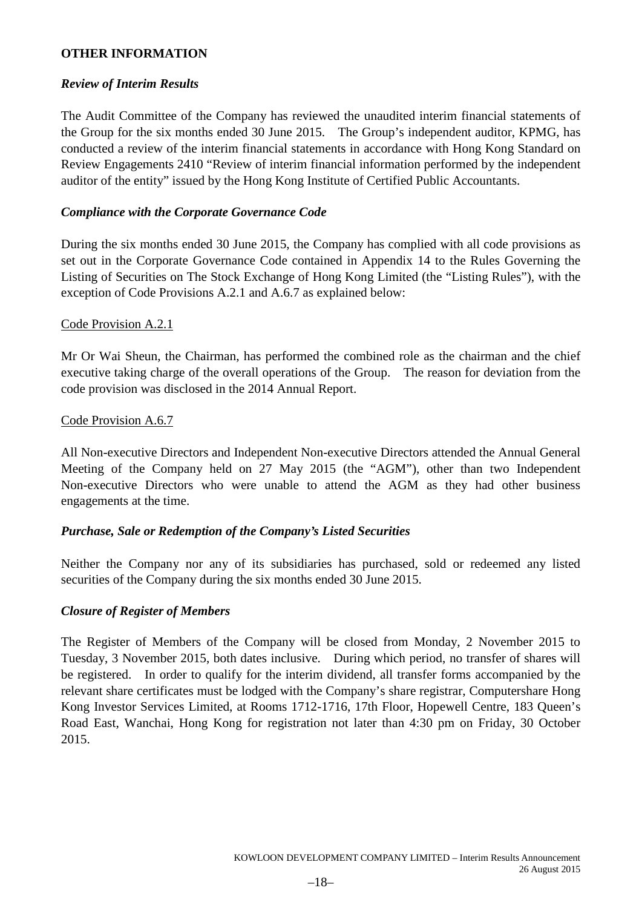### **OTHER INFORMATION**

### *Review of Interim Results*

The Audit Committee of the Company has reviewed the unaudited interim financial statements of the Group for the six months ended 30 June 2015. The Group's independent auditor, KPMG, has conducted a review of the interim financial statements in accordance with Hong Kong Standard on Review Engagements 2410 "Review of interim financial information performed by the independent auditor of the entity" issued by the Hong Kong Institute of Certified Public Accountants.

### *Compliance with the Corporate Governance Code*

During the six months ended 30 June 2015, the Company has complied with all code provisions as set out in the Corporate Governance Code contained in Appendix 14 to the Rules Governing the Listing of Securities on The Stock Exchange of Hong Kong Limited (the "Listing Rules"), with the exception of Code Provisions A.2.1 and A.6.7 as explained below:

### Code Provision A.2.1

Mr Or Wai Sheun, the Chairman, has performed the combined role as the chairman and the chief executive taking charge of the overall operations of the Group. The reason for deviation from the code provision was disclosed in the 2014 Annual Report.

### Code Provision A.6.7

All Non-executive Directors and Independent Non-executive Directors attended the Annual General Meeting of the Company held on 27 May 2015 (the "AGM"), other than two Independent Non-executive Directors who were unable to attend the AGM as they had other business engagements at the time.

### *Purchase, Sale or Redemption of the Company's Listed Securities*

Neither the Company nor any of its subsidiaries has purchased, sold or redeemed any listed securities of the Company during the six months ended 30 June 2015.

### *Closure of Register of Members*

The Register of Members of the Company will be closed from Monday, 2 November 2015 to Tuesday, 3 November 2015, both dates inclusive. During which period, no transfer of shares will be registered. In order to qualify for the interim dividend, all transfer forms accompanied by the relevant share certificates must be lodged with the Company's share registrar, Computershare Hong Kong Investor Services Limited, at Rooms 1712-1716, 17th Floor, Hopewell Centre, 183 Queen's Road East, Wanchai, Hong Kong for registration not later than 4:30 pm on Friday, 30 October 2015.